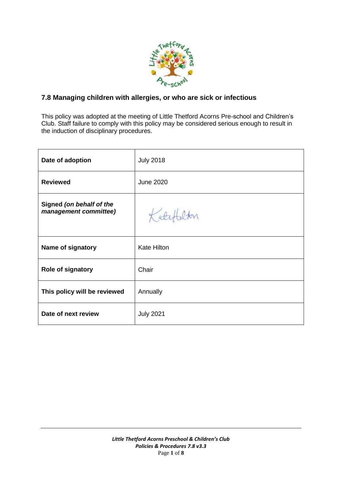

## **7.8 Managing children with allergies, or who are sick or infectious**

This policy was adopted at the meeting of Little Thetford Acorns Pre-school and Children's Club. Staff failure to comply with this policy may be considered serious enough to result in the induction of disciplinary procedures.

| Date of adoption                                  | <b>July 2018</b>   |
|---------------------------------------------------|--------------------|
| <b>Reviewed</b>                                   | <b>June 2020</b>   |
| Signed (on behalf of the<br>management committee) | Koty               |
| Name of signatory                                 | <b>Kate Hilton</b> |
| <b>Role of signatory</b>                          | Chair              |
| This policy will be reviewed                      | Annually           |
| Date of next review                               | <b>July 2021</b>   |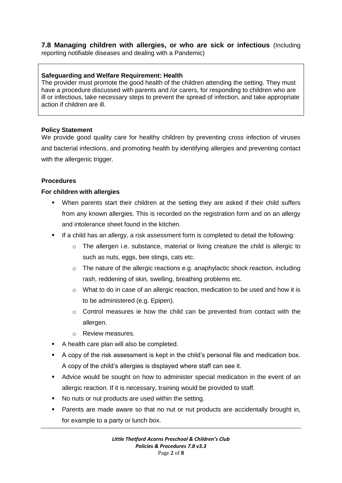### **7.8 Managing children with allergies, or who are sick or infectious** (Including reporting notifiable diseases and dealing with a Pandemic)

## **Safeguarding and Welfare Requirement: Health**

The provider must promote the good health of the children attending the setting. They must have a procedure discussed with parents and /or carers, for responding to children who are ill or infectious, take necessary steps to prevent the spread of infection, and take appropriate action if children are ill.

#### **Policy Statement**

We provide good quality care for healthy children by preventing cross infection of viruses and bacterial infections, and promoting health by identifying allergies and preventing contact with the allergenic trigger.

## **Procedures**

#### **For children with allergies**

- When parents start their children at the setting they are asked if their child suffers from any known allergies. This is recorded on the registration form and on an allergy and intolerance sheet found in the kitchen.
- If a child has an allergy, a risk assessment form is completed to detail the following:
	- o The allergen i.e. substance, material or living creature the child is allergic to such as nuts, eggs, bee stings, cats etc.
	- $\circ$  The nature of the allergic reactions e.g. anaphylactic shock reaction, including rash, reddening of skin, swelling, breathing problems etc.
	- o What to do in case of an allergic reaction, medication to be used and how it is to be administered (e.g. Epipen).
	- o Control measures ie how the child can be prevented from contact with the allergen.
	- o Review measures.
- A health care plan will also be completed.
- A copy of the risk assessment is kept in the child's personal file and medication box. A copy of the child's allergies is displayed where staff can see it.
- Advice would be sought on how to administer special medication in the event of an allergic reaction. If it is necessary, training would be provided to staff.
- No nuts or nut products are used within the setting.
- Parents are made aware so that no nut or nut products are accidentally brought in, for example to a party or lunch box.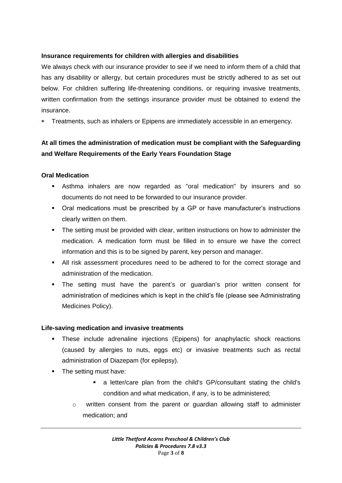## **Insurance requirements for children with allergies and disabilities**

We always check with our insurance provider to see if we need to inform them of a child that has any disability or allergy, but certain procedures must be strictly adhered to as set out below. For children suffering life-threatening conditions, or requiring invasive treatments, written confirmation from the settings insurance provider must be obtained to extend the insurance.

**Treatments, such as inhalers or Epipens are immediately accessible in an emergency.** 

## **At all times the administration of medication must be compliant with the Safeguarding and Welfare Requirements of the Early Years Foundation Stage**

#### **Oral Medication**

- Asthma inhalers are now regarded as "oral medication" by insurers and so documents do not need to be forwarded to our insurance provider.
- Oral medications must be prescribed by a GP or have manufacturer's instructions clearly written on them.
- The setting must be provided with clear, written instructions on how to administer the medication. A medication form must be filled in to ensure we have the correct information and this is to be signed by parent, key person and manager.
- All risk assessment procedures need to be adhered to for the correct storage and administration of the medication.
- The setting must have the parent's or guardian's prior written consent for administration of medicines which is kept in the child's file (please see Administrating Medicines Policy).

#### **Life-saving medication and invasive treatments**

- These include adrenaline injections (Epipens) for anaphylactic shock reactions (caused by allergies to nuts, eggs etc) or invasive treatments such as rectal administration of Diazepam (for epilepsy).
- The setting must have:
	- a letter/care plan from the child's GP/consultant stating the child's condition and what medication, if any, is to be administered;
	- o written consent from the parent or guardian allowing staff to administer medication; and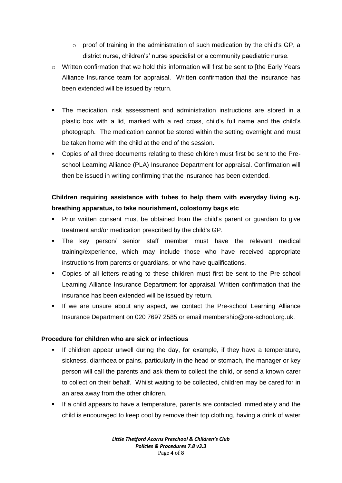- $\circ$  proof of training in the administration of such medication by the child's GP, a district nurse, children's' nurse specialist or a community paediatric nurse.
- $\circ$  Written confirmation that we hold this information will first be sent to [the Early Years Alliance Insurance team for appraisal. Written confirmation that the insurance has been extended will be issued by return.
- The medication, risk assessment and administration instructions are stored in a plastic box with a lid, marked with a red cross, child's full name and the child's photograph. The medication cannot be stored within the setting overnight and must be taken home with the child at the end of the session.
- Copies of all three documents relating to these children must first be sent to the Preschool Learning Alliance (PLA) Insurance Department for appraisal. Confirmation will then be issued in writing confirming that the insurance has been extended.

# **Children requiring assistance with tubes to help them with everyday living e.g. breathing apparatus, to take nourishment, colostomy bags etc**

- Prior written consent must be obtained from the child's parent or guardian to give treatment and/or medication prescribed by the child's GP.
- The key person/ senior staff member must have the relevant medical training/experience, which may include those who have received appropriate instructions from parents or guardians, or who have qualifications.
- Copies of all letters relating to these children must first be sent to the Pre-school Learning Alliance Insurance Department for appraisal. Written confirmation that the insurance has been extended will be issued by return.
- If we are unsure about any aspect, we contact the Pre-school Learning Alliance Insurance Department on 020 7697 2585 or email membership@pre-school.org.uk.

## **Procedure for children who are sick or infectious**

- If children appear unwell during the day, for example, if they have a temperature, sickness, diarrhoea or pains, particularly in the head or stomach, the manager or key person will call the parents and ask them to collect the child, or send a known carer to collect on their behalf. Whilst waiting to be collected, children may be cared for in an area away from the other children.
- If a child appears to have a temperature, parents are contacted immediately and the child is encouraged to keep cool by remove their top clothing, having a drink of water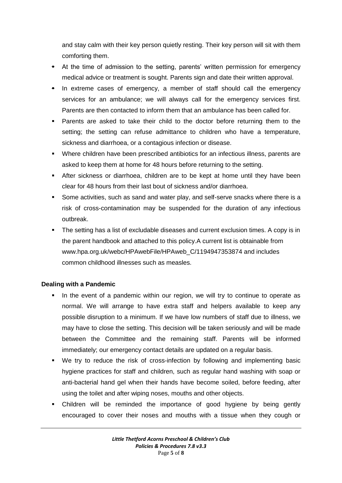and stay calm with their key person quietly resting. Their key person will sit with them comforting them.

- At the time of admission to the setting, parents' written permission for emergency medical advice or treatment is sought. Parents sign and date their written approval.
- In extreme cases of emergency, a member of staff should call the emergency services for an ambulance; we will always call for the emergency services first. Parents are then contacted to inform them that an ambulance has been called for.
- Parents are asked to take their child to the doctor before returning them to the setting; the setting can refuse admittance to children who have a temperature, sickness and diarrhoea, or a contagious infection or disease.
- Where children have been prescribed antibiotics for an infectious illness, parents are asked to keep them at home for 48 hours before returning to the setting.
- After sickness or diarrhoea, children are to be kept at home until they have been clear for 48 hours from their last bout of sickness and/or diarrhoea.
- Some activities, such as sand and water play, and self-serve snacks where there is a risk of cross-contamination may be suspended for the duration of any infectious outbreak.
- The setting has a list of excludable diseases and current exclusion times. A copy is in the parent handbook and attached to this policy.A current list is obtainable from www.hpa.org.uk/webc/HPAwebFile/HPAweb C/1194947353874 and includes common childhood illnesses such as measles.

## **Dealing with a Pandemic**

- In the event of a pandemic within our region, we will try to continue to operate as normal. We will arrange to have extra staff and helpers available to keep any possible disruption to a minimum. If we have low numbers of staff due to illness, we may have to close the setting. This decision will be taken seriously and will be made between the Committee and the remaining staff. Parents will be informed immediately; our emergency contact details are updated on a regular basis.
- We try to reduce the risk of cross-infection by following and implementing basic hygiene practices for staff and children, such as regular hand washing with soap or anti-bacterial hand gel when their hands have become soiled, before feeding, after using the toilet and after wiping noses, mouths and other objects.
- Children will be reminded the importance of good hygiene by being gently encouraged to cover their noses and mouths with a tissue when they cough or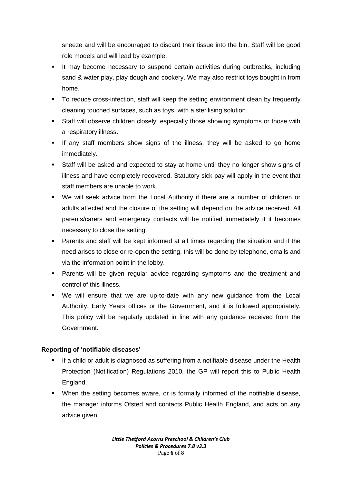sneeze and will be encouraged to discard their tissue into the bin. Staff will be good role models and will lead by example.

- It may become necessary to suspend certain activities during outbreaks, including sand & water play, play dough and cookery. We may also restrict toys bought in from home.
- To reduce cross-infection, staff will keep the setting environment clean by frequently cleaning touched surfaces, such as toys, with a sterilising solution.
- Staff will observe children closely, especially those showing symptoms or those with a respiratory illness.
- If any staff members show signs of the illness, they will be asked to go home immediately.
- Staff will be asked and expected to stay at home until they no longer show signs of illness and have completely recovered. Statutory sick pay will apply in the event that staff members are unable to work.
- We will seek advice from the Local Authority if there are a number of children or adults affected and the closure of the setting will depend on the advice received. All parents/carers and emergency contacts will be notified immediately if it becomes necessary to close the setting.
- Parents and staff will be kept informed at all times regarding the situation and if the need arises to close or re-open the setting, this will be done by telephone, emails and via the information point in the lobby.
- Parents will be given regular advice regarding symptoms and the treatment and control of this illness.
- We will ensure that we are up-to-date with any new guidance from the Local Authority, Early Years offices or the Government, and it is followed appropriately. This policy will be regularly updated in line with any guidance received from the Government.

## **Reporting of 'notifiable diseases'**

- If a child or adult is diagnosed as suffering from a notifiable disease under the Health Protection (Notification) Regulations 2010, the GP will report this to Public Health England.
- When the setting becomes aware, or is formally informed of the notifiable disease, the manager informs Ofsted and contacts Public Health England, and acts on any advice given.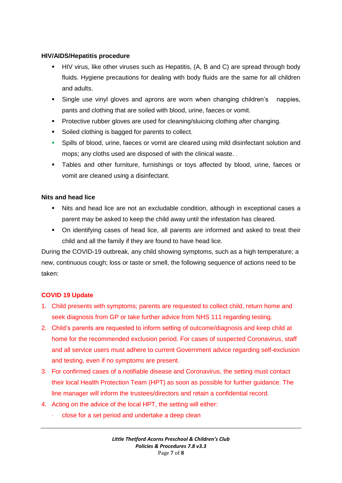### **HIV/AIDS/Hepatitis procedure**

- HIV virus, like other viruses such as Hepatitis, (A, B and C) are spread through body fluids. Hygiene precautions for dealing with body fluids are the same for all children and adults.
- Single use vinyl gloves and aprons are worn when changing children's nappies, pants and clothing that are soiled with blood, urine, faeces or vomit.
- Protective rubber gloves are used for cleaning/sluicing clothing after changing.
- Soiled clothing is bagged for parents to collect.
- Spills of blood, urine, faeces or vomit are cleared using mild disinfectant solution and mops; any cloths used are disposed of with the clinical waste. .
- Tables and other furniture, furnishings or toys affected by blood, urine, faeces or vomit are cleaned using a disinfectant.

## **Nits and head lice**

- Nits and head lice are not an excludable condition, although in exceptional cases a parent may be asked to keep the child away until the infestation has cleared.
- On identifying cases of head lice, all parents are informed and asked to treat their child and all the family if they are found to have head lice.

During the COVID-19 outbreak, any child showing symptoms, such as a high temperature; a new, continuous cough; loss or taste or smell, the following sequence of actions need to be taken:

## **COVID 19 Update**

- 1. Child presents with symptoms; parents are requested to collect child, return home and seek diagnosis from GP or take further advice from NHS 111 regarding testing.
- 2. Child's parents are requested to inform setting of outcome/diagnosis and keep child at home for the recommended exclusion period. For cases of suspected Coronavirus, staff and all service users must adhere to current Government advice regarding self-exclusion and testing, even if no symptoms are present.
- 3. For confirmed cases of a notifiable disease and Coronavirus, the setting must contact their local Health Protection Team (HPT) as soon as possible for further guidance. The line manager will inform the trustees/directors and retain a confidential record.
- 4. Acting on the advice of the local HPT, the setting will either:
	- · close for a set period and undertake a deep clean